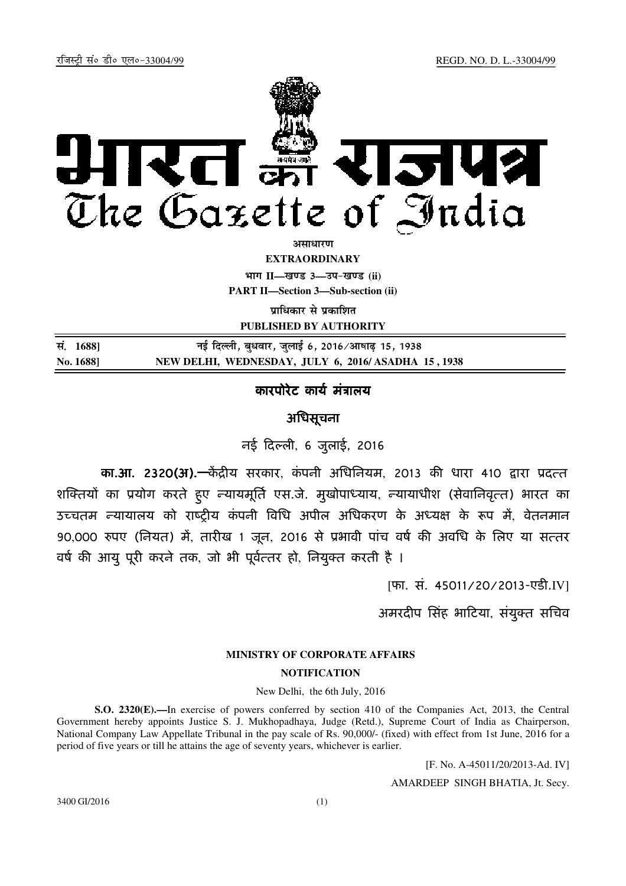

असाधा**र**ण

**EXTRAORDINARY Hkkx II—[k.M 3—mi&[k.M (ii)**

**PART II—Section 3—Sub-section (ii)** 

**पाधिकार से पका**शित

**PUBLISHED BY AUTHORITY**

| सं. 1688] | नई दिल्ली, बुधवार, जुलाई 6, 2016 ∕आषाढ़ 15, 1938   |
|-----------|----------------------------------------------------|
| No. 1688] | NEW DELHI, WEDNESDAY, JULY 6, 2016/ASADHA 15, 1938 |

### कारपोरेट कार्य मत्रालय

## अिधसूचना

 $-$ नई दिल्ली, 6 जुलाई, 2016

का.आ. 2320(अ).—केंद्रीय सरकार, कंपनी अधिनियम, 2013 की धारा 410 द्वारा प्रदत्त शक्तियों का प्रयोग करते हुए न्यायमूर्ति एस.जे. मुखोपाध्याय, न्यायाधीश (सेवानिवृत्त) भारत का उच्चतम न्यायालय को राष्टीय कंपनी विधि अपील अधिकरण के अध्यक्ष के रूप में, वेतनमान 90,000 रुपए (नियत) मे, तारीख 1 जून, 2016 से प्रभावी पाच वर्ष की अवधि के लिए या सत्तर वर्ष की आयु पूरी करने तक, जो भी पूर्वत्तर हो, नियुक्त करती है ।

[फा. सं. 45011/20/2013-एडी.IV]

अमरदीप सिंह भाटिया, संयुक्त सचिव

### **MINISTRY OF CORPORATE AFFAIRS**

#### **NOTIFICATION**

#### New Delhi, the 6th July, 2016

**S.O. 2320(E).—**In exercise of powers conferred by section 410 of the Companies Act, 2013, the Central Government hereby appoints Justice S. J. Mukhopadhaya, Judge (Retd.), Supreme Court of India as Chairperson, National Company Law Appellate Tribunal in the pay scale of Rs. 90,000/- (fixed) with effect from 1st June, 2016 for a period of five years or till he attains the age of seventy years, whichever is earlier.

[F. No. A-45011/20/2013-Ad. IV]

AMARDEEP SINGH BHATIA, Jt. Secy.

3400 GI/2016 (1)